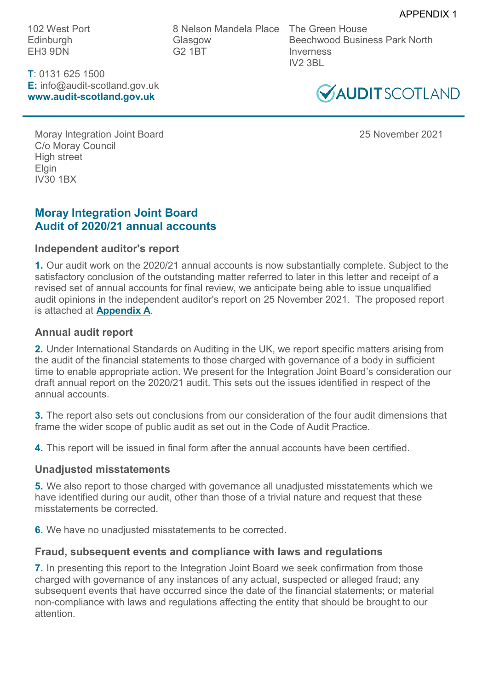102 West Port **Edinburgh** EH3 9DN

**T**: 0131 625 1500 **E:** info@audit-scotland.gov.uk **www.audit-scotland.gov.uk**

8 Nelson Mandela Place Glasgow G2 1BT

The Green House Beechwood Business Park North Inverness IV2 3BL



Moray Integration Joint Board 25 November 2021 C/o Moray Council High street **Elgin** IV30 1BX

## **Moray Integration Joint Board Audit of 2020/21 annual accounts**

## **Independent auditor's report**

**1.** Our audit work on the 2020/21 annual accounts is now substantially complete. Subject to the satisfactory conclusion of the outstanding matter referred to later in this letter and receipt of a revised set of annual accounts for final review, we anticipate being able to issue unqualified audit opinions in the independent auditor's report on 25 November 2021. The proposed report is attached at **[Appendix A](#page-2-0)**.

## **Annual audit report**

**2.** Under International Standards on Auditing in the UK, we report specific matters arising from the audit of the financial statements to those charged with governance of a body in sufficient time to enable appropriate action. We present for the Integration Joint Board's consideration our draft annual report on the 2020/21 audit. This sets out the issues identified in respect of the annual accounts.

**3.** The report also sets out conclusions from our consideration of the four audit dimensions that frame the wider scope of public audit as set out in the Code of Audit Practice.

**4.** This report will be issued in final form after the annual accounts have been certified.

## **Unadjusted misstatements**

**5.** We also report to those charged with governance all unadjusted misstatements which we have identified during our audit, other than those of a trivial nature and request that these misstatements be corrected.

**6.** We have no unadjusted misstatements to be corrected.

## **Fraud, subsequent events and compliance with laws and regulations**

**7.** In presenting this report to the Integration Joint Board we seek confirmation from those charged with governance of any instances of any actual, suspected or alleged fraud; any subsequent events that have occurred since the date of the financial statements; or material non-compliance with laws and regulations affecting the entity that should be brought to our attention.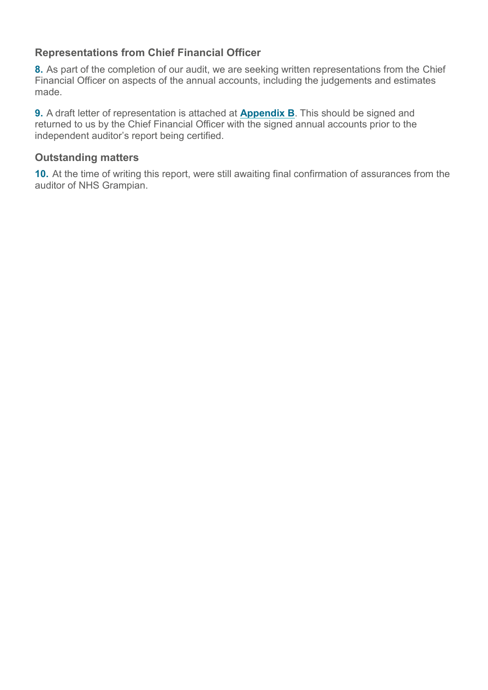# **Representations from Chief Financial Officer**

**8.** As part of the completion of our audit, we are seeking written representations from the Chief Financial Officer on aspects of the annual accounts, including the judgements and estimates made.

**9.** A draft letter of representation is attached at **[Appendix B](#page-6-0)**. This should be signed and returned to us by the Chief Financial Officer with the signed annual accounts prior to the independent auditor's report being certified.

### **Outstanding matters**

**10.** At the time of writing this report, were still awaiting final confirmation of assurances from the auditor of NHS Grampian.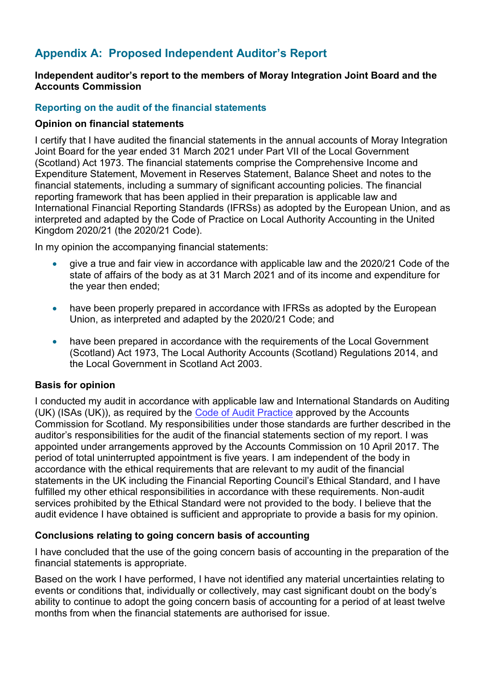# <span id="page-2-0"></span>**Appendix A: Proposed Independent Auditor's Report**

#### **Independent auditor's report to the members of Moray Integration Joint Board and the Accounts Commission**

### **Reporting on the audit of the financial statements**

#### **Opinion on financial statements**

I certify that I have audited the financial statements in the annual accounts of Moray Integration Joint Board for the year ended 31 March 2021 under Part VII of the Local Government (Scotland) Act 1973. The financial statements comprise the Comprehensive Income and Expenditure Statement, Movement in Reserves Statement, Balance Sheet and notes to the financial statements, including a summary of significant accounting policies. The financial reporting framework that has been applied in their preparation is applicable law and International Financial Reporting Standards (IFRSs) as adopted by the European Union, and as interpreted and adapted by the Code of Practice on Local Authority Accounting in the United Kingdom 2020/21 (the 2020/21 Code).

In my opinion the accompanying financial statements:

- give a true and fair view in accordance with applicable law and the 2020/21 Code of the state of affairs of the body as at 31 March 2021 and of its income and expenditure for the year then ended;
- have been properly prepared in accordance with IFRSs as adopted by the European Union, as interpreted and adapted by the 2020/21 Code; and
- have been prepared in accordance with the requirements of the Local Government (Scotland) Act 1973, The Local Authority Accounts (Scotland) Regulations 2014, and the Local Government in Scotland Act 2003.

#### **Basis for opinion**

I conducted my audit in accordance with applicable law and International Standards on Auditing (UK) (ISAs (UK)), as required by the [Code of Audit Practice](http://www.audit-scotland.gov.uk/uploads/docs/report/2016/code_audit_practice_16.pdf) approved by the Accounts Commission for Scotland. My responsibilities under those standards are further described in the auditor's responsibilities for the audit of the financial statements section of my report. I was appointed under arrangements approved by the Accounts Commission on 10 April 2017. The period of total uninterrupted appointment is five years. I am independent of the body in accordance with the ethical requirements that are relevant to my audit of the financial statements in the UK including the Financial Reporting Council's Ethical Standard, and I have fulfilled my other ethical responsibilities in accordance with these requirements. Non-audit services prohibited by the Ethical Standard were not provided to the body. I believe that the audit evidence I have obtained is sufficient and appropriate to provide a basis for my opinion.

### **Conclusions relating to going concern basis of accounting**

I have concluded that the use of the going concern basis of accounting in the preparation of the financial statements is appropriate.

Based on the work I have performed, I have not identified any material uncertainties relating to events or conditions that, individually or collectively, may cast significant doubt on the body's ability to continue to adopt the going concern basis of accounting for a period of at least twelve months from when the financial statements are authorised for issue.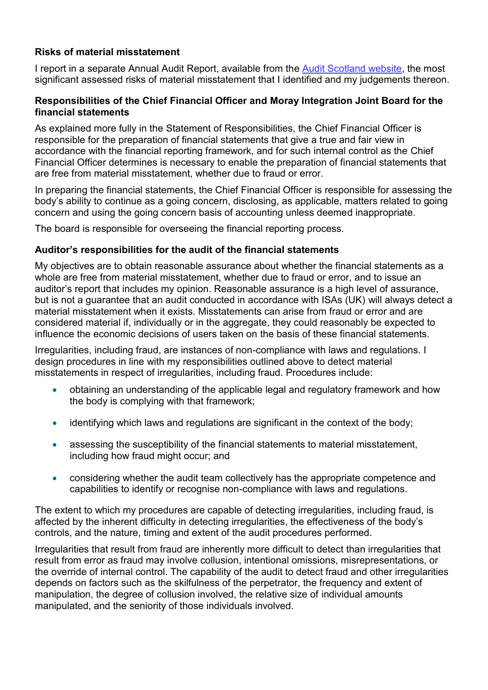### **Risks of material misstatement**

I report in a separate Annual Audit Report, available from the [Audit Scotland website,](http://www.audit-scotland.gov.uk/our-work/annual-audits) the most significant assessed risks of material misstatement that I identified and my judgements thereon.

#### **Responsibilities of the Chief Financial Officer and Moray Integration Joint Board for the financial statements**

As explained more fully in the Statement of Responsibilities, the Chief Financial Officer is responsible for the preparation of financial statements that give a true and fair view in accordance with the financial reporting framework, and for such internal control as the Chief Financial Officer determines is necessary to enable the preparation of financial statements that are free from material misstatement, whether due to fraud or error.

In preparing the financial statements, the Chief Financial Officer is responsible for assessing the body's ability to continue as a going concern, disclosing, as applicable, matters related to going concern and using the going concern basis of accounting unless deemed inappropriate.

The board is responsible for overseeing the financial reporting process.

### **Auditor's responsibilities for the audit of the financial statements**

My objectives are to obtain reasonable assurance about whether the financial statements as a whole are free from material misstatement, whether due to fraud or error, and to issue an auditor's report that includes my opinion. Reasonable assurance is a high level of assurance, but is not a guarantee that an audit conducted in accordance with ISAs (UK) will always detect a material misstatement when it exists. Misstatements can arise from fraud or error and are considered material if, individually or in the aggregate, they could reasonably be expected to influence the economic decisions of users taken on the basis of these financial statements.

Irregularities, including fraud, are instances of non-compliance with laws and regulations. I design procedures in line with my responsibilities outlined above to detect material misstatements in respect of irregularities, including fraud. Procedures include:

- obtaining an understanding of the applicable legal and regulatory framework and how the body is complying with that framework;
- identifying which laws and regulations are significant in the context of the body;
- assessing the susceptibility of the financial statements to material misstatement, including how fraud might occur; and
- considering whether the audit team collectively has the appropriate competence and capabilities to identify or recognise non-compliance with laws and regulations.

The extent to which my procedures are capable of detecting irregularities, including fraud, is affected by the inherent difficulty in detecting irregularities, the effectiveness of the body's controls, and the nature, timing and extent of the audit procedures performed.

Irregularities that result from fraud are inherently more difficult to detect than irregularities that result from error as fraud may involve collusion, intentional omissions, misrepresentations, or the override of internal control. The capability of the audit to detect fraud and other irregularities depends on factors such as the skilfulness of the perpetrator, the frequency and extent of manipulation, the degree of collusion involved, the relative size of individual amounts manipulated, and the seniority of those individuals involved.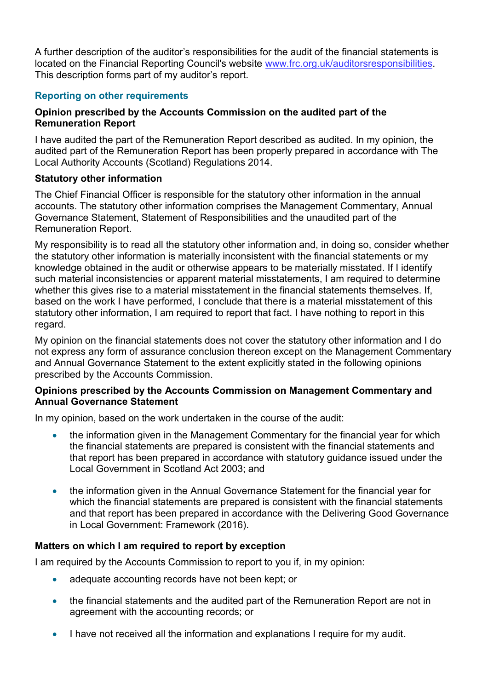A further description of the auditor's responsibilities for the audit of the financial statements is located on the Financial Reporting Council's website [www.frc.org.uk/auditorsresponsibilities.](https://www.frc.org.uk/Our-Work/Audit-and-Actuarial-Regulation/Audit-and-assurance/Standards-and-guidance/Standards-and-guidance-for-auditors/Auditors-responsibilities-for-audit/Description-of-auditors-responsibilities-for-audit.aspx) This description forms part of my auditor's report.

## **Reporting on other requirements**

### **Opinion prescribed by the Accounts Commission on the audited part of the Remuneration Report**

I have audited the part of the Remuneration Report described as audited. In my opinion, the audited part of the Remuneration Report has been properly prepared in accordance with The Local Authority Accounts (Scotland) Regulations 2014.

#### **Statutory other information**

The Chief Financial Officer is responsible for the statutory other information in the annual accounts. The statutory other information comprises the Management Commentary, Annual Governance Statement, Statement of Responsibilities and the unaudited part of the Remuneration Report.

My responsibility is to read all the statutory other information and, in doing so, consider whether the statutory other information is materially inconsistent with the financial statements or my knowledge obtained in the audit or otherwise appears to be materially misstated. If I identify such material inconsistencies or apparent material misstatements, I am required to determine whether this gives rise to a material misstatement in the financial statements themselves. If, based on the work I have performed, I conclude that there is a material misstatement of this statutory other information, I am required to report that fact. I have nothing to report in this regard.

My opinion on the financial statements does not cover the statutory other information and I do not express any form of assurance conclusion thereon except on the Management Commentary and Annual Governance Statement to the extent explicitly stated in the following opinions prescribed by the Accounts Commission.

#### **Opinions prescribed by the Accounts Commission on Management Commentary and Annual Governance Statement**

In my opinion, based on the work undertaken in the course of the audit:

- the information given in the Management Commentary for the financial year for which the financial statements are prepared is consistent with the financial statements and that report has been prepared in accordance with statutory guidance issued under the Local Government in Scotland Act 2003; and
- the information given in the Annual Governance Statement for the financial year for which the financial statements are prepared is consistent with the financial statements and that report has been prepared in accordance with the Delivering Good Governance in Local Government: Framework (2016).

### **Matters on which I am required to report by exception**

I am required by the Accounts Commission to report to you if, in my opinion:

- adequate accounting records have not been kept; or
- the financial statements and the audited part of the Remuneration Report are not in agreement with the accounting records; or
- I have not received all the information and explanations I require for my audit.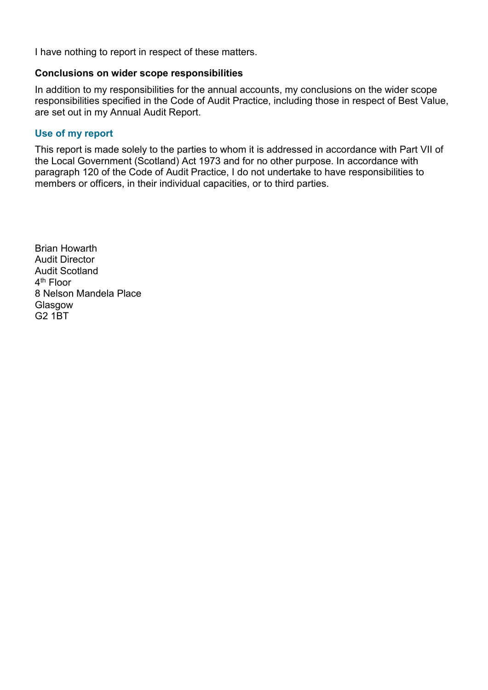I have nothing to report in respect of these matters.

#### **Conclusions on wider scope responsibilities**

In addition to my responsibilities for the annual accounts, my conclusions on the wider scope responsibilities specified in the Code of Audit Practice, including those in respect of Best Value, are set out in my Annual Audit Report.

#### **Use of my report**

This report is made solely to the parties to whom it is addressed in accordance with Part VII of the Local Government (Scotland) Act 1973 and for no other purpose. In accordance with paragraph 120 of the Code of Audit Practice, I do not undertake to have responsibilities to members or officers, in their individual capacities, or to third parties.

Brian Howarth Audit Director Audit Scotland 4<sup>th</sup> Floor 8 Nelson Mandela Place Glasgow G2 1BT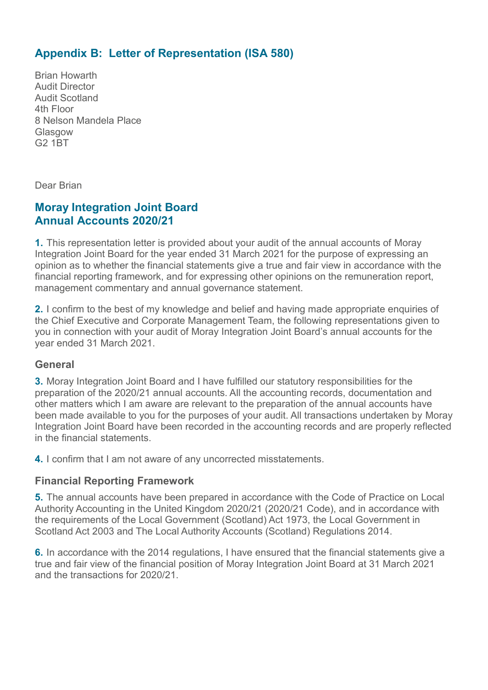# <span id="page-6-0"></span>**Appendix B: Letter of Representation (ISA 580)**

Brian Howarth Audit Director Audit Scotland 4th Floor 8 Nelson Mandela Place Glasgow G2 1BT

Dear Brian

## **Moray Integration Joint Board Annual Accounts 2020/21**

**1.** This representation letter is provided about your audit of the annual accounts of Moray Integration Joint Board for the year ended 31 March 2021 for the purpose of expressing an opinion as to whether the financial statements give a true and fair view in accordance with the financial reporting framework, and for expressing other opinions on the remuneration report, management commentary and annual governance statement.

**2.** I confirm to the best of my knowledge and belief and having made appropriate enquiries of the Chief Executive and Corporate Management Team, the following representations given to you in connection with your audit of Moray Integration Joint Board's annual accounts for the year ended 31 March 2021.

### **General**

**3.** Moray Integration Joint Board and I have fulfilled our statutory responsibilities for the preparation of the 2020/21 annual accounts. All the accounting records, documentation and other matters which I am aware are relevant to the preparation of the annual accounts have been made available to you for the purposes of your audit. All transactions undertaken by Moray Integration Joint Board have been recorded in the accounting records and are properly reflected in the financial statements.

**4.** I confirm that I am not aware of any uncorrected misstatements.

### **Financial Reporting Framework**

**5.** The annual accounts have been prepared in accordance with the Code of Practice on Local Authority Accounting in the United Kingdom 2020/21 (2020/21 Code), and in accordance with the requirements of the Local Government (Scotland) Act 1973, the Local Government in Scotland Act 2003 and The Local Authority Accounts (Scotland) Regulations 2014.

**6.** In accordance with the 2014 regulations, I have ensured that the financial statements give a true and fair view of the financial position of Moray Integration Joint Board at 31 March 2021 and the transactions for 2020/21.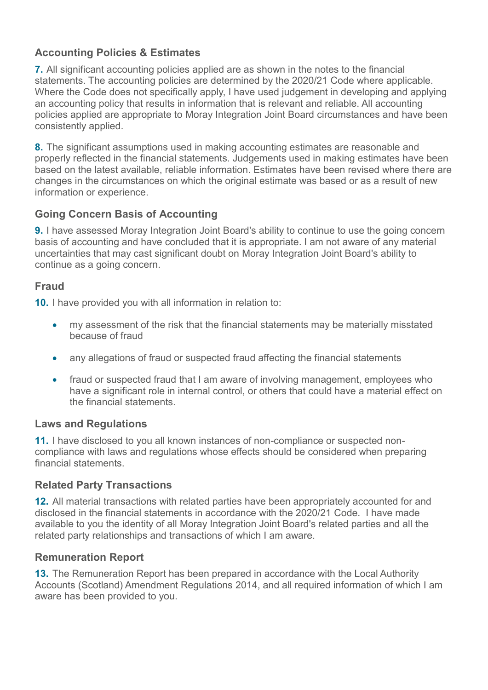# **Accounting Policies & Estimates**

**7.** All significant accounting policies applied are as shown in the notes to the financial statements. The accounting policies are determined by the 2020/21 Code where applicable. Where the Code does not specifically apply, I have used judgement in developing and applying an accounting policy that results in information that is relevant and reliable. All accounting policies applied are appropriate to Moray Integration Joint Board circumstances and have been consistently applied.

**8.** The significant assumptions used in making accounting estimates are reasonable and properly reflected in the financial statements. Judgements used in making estimates have been based on the latest available, reliable information. Estimates have been revised where there are changes in the circumstances on which the original estimate was based or as a result of new information or experience.

## **Going Concern Basis of Accounting**

**9.** I have assessed Moray Integration Joint Board's ability to continue to use the going concern basis of accounting and have concluded that it is appropriate. I am not aware of any material uncertainties that may cast significant doubt on Moray Integration Joint Board's ability to continue as a going concern.

## **Fraud**

**10.** I have provided you with all information in relation to:

- my assessment of the risk that the financial statements may be materially misstated because of fraud
- any allegations of fraud or suspected fraud affecting the financial statements
- fraud or suspected fraud that I am aware of involving management, employees who have a significant role in internal control, or others that could have a material effect on the financial statements.

## **Laws and Regulations**

**11.** I have disclosed to you all known instances of non-compliance or suspected noncompliance with laws and regulations whose effects should be considered when preparing financial statements.

## **Related Party Transactions**

**12.** All material transactions with related parties have been appropriately accounted for and disclosed in the financial statements in accordance with the 2020/21 Code. I have made available to you the identity of all Moray Integration Joint Board's related parties and all the related party relationships and transactions of which I am aware.

### **Remuneration Report**

**13.** The Remuneration Report has been prepared in accordance with the Local Authority Accounts (Scotland) Amendment Regulations 2014, and all required information of which I am aware has been provided to you.